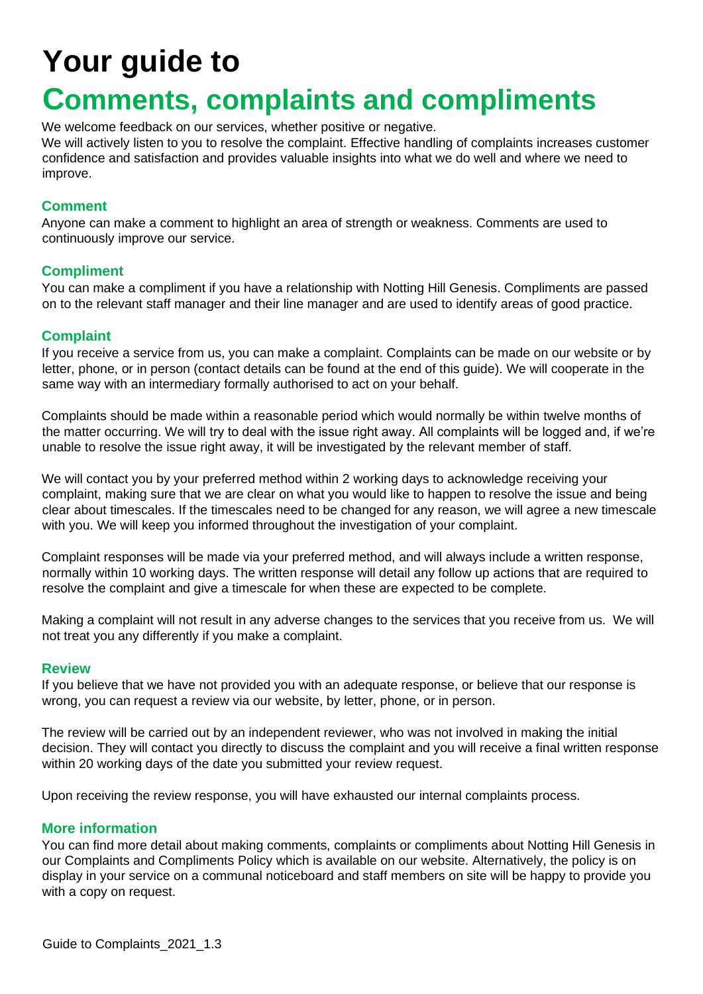# **Your guide to**

## **Comments, complaints and compliments**

We welcome feedback on our services, whether positive or negative.

We will actively listen to you to resolve the complaint. Effective handling of complaints increases customer confidence and satisfaction and provides valuable insights into what we do well and where we need to improve.

#### **Comment**

Anyone can make a comment to highlight an area of strength or weakness. Comments are used to continuously improve our service.

#### **Compliment**

You can make a compliment if you have a relationship with Notting Hill Genesis. Compliments are passed on to the relevant staff manager and their line manager and are used to identify areas of good practice.

#### **Complaint**

If you receive a service from us, you can make a complaint. Complaints can be made on our website or by letter, phone, or in person (contact details can be found at the end of this guide). We will cooperate in the same way with an intermediary formally authorised to act on your behalf.

Complaints should be made within a reasonable period which would normally be within twelve months of the matter occurring. We will try to deal with the issue right away. All complaints will be logged and, if we're unable to resolve the issue right away, it will be investigated by the relevant member of staff.

We will contact you by your preferred method within 2 working days to acknowledge receiving your complaint, making sure that we are clear on what you would like to happen to resolve the issue and being clear about timescales. If the timescales need to be changed for any reason, we will agree a new timescale with you. We will keep you informed throughout the investigation of your complaint.

Complaint responses will be made via your preferred method, and will always include a written response, normally within 10 working days. The written response will detail any follow up actions that are required to resolve the complaint and give a timescale for when these are expected to be complete.

Making a complaint will not result in any adverse changes to the services that you receive from us. We will not treat you any differently if you make a complaint.

#### **Review**

If you believe that we have not provided you with an adequate response, or believe that our response is wrong, you can request a review via our website, by letter, phone, or in person.

The review will be carried out by an independent reviewer, who was not involved in making the initial decision. They will contact you directly to discuss the complaint and you will receive a final written response within 20 working days of the date you submitted your review request.

Upon receiving the review response, you will have exhausted our internal complaints process.

#### **More information**

You can find more detail about making comments, complaints or compliments about Notting Hill Genesis in our Complaints and Compliments Policy which is available on our website. Alternatively, the policy is on display in your service on a communal noticeboard and staff members on site will be happy to provide you with a copy on request.